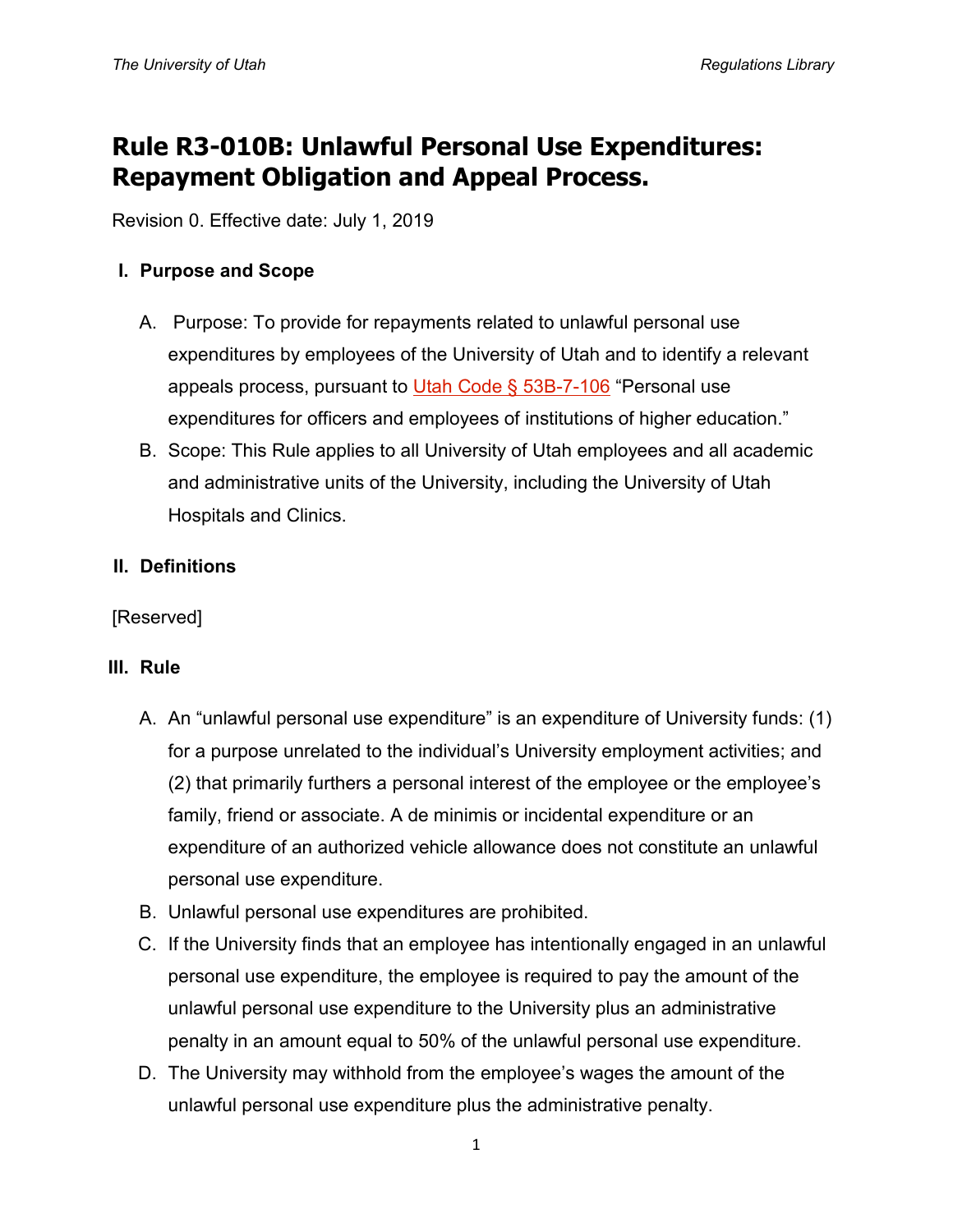# **Rule R3-010B: Unlawful Personal Use Expenditures: Repayment Obligation and Appeal Process.**

Revision 0. Effective date: July 1, 2019

# **I. Purpose and Scope**

- A. Purpose: To provide for repayments related to unlawful personal use expenditures by employees of the University of Utah and to identify a relevant appeals process, pursuant to [Utah Code § 53B-7-106](https://le.utah.gov/xcode/Title53B/Chapter7/53B-7-S106.html?v=C53B-7-S106_2017050920170509) "Personal use expenditures for officers and employees of institutions of higher education."
- B. Scope: This Rule applies to all University of Utah employees and all academic and administrative units of the University, including the University of Utah Hospitals and Clinics.

# **II. Definitions**

[Reserved]

# **III. Rule**

- A. An "unlawful personal use expenditure" is an expenditure of University funds: (1) for a purpose unrelated to the individual's University employment activities; and (2) that primarily furthers a personal interest of the employee or the employee's family, friend or associate. A de minimis or incidental expenditure or an expenditure of an authorized vehicle allowance does not constitute an unlawful personal use expenditure.
- B. Unlawful personal use expenditures are prohibited.
- C. If the University finds that an employee has intentionally engaged in an unlawful personal use expenditure, the employee is required to pay the amount of the unlawful personal use expenditure to the University plus an administrative penalty in an amount equal to 50% of the unlawful personal use expenditure.
- D. The University may withhold from the employee's wages the amount of the unlawful personal use expenditure plus the administrative penalty.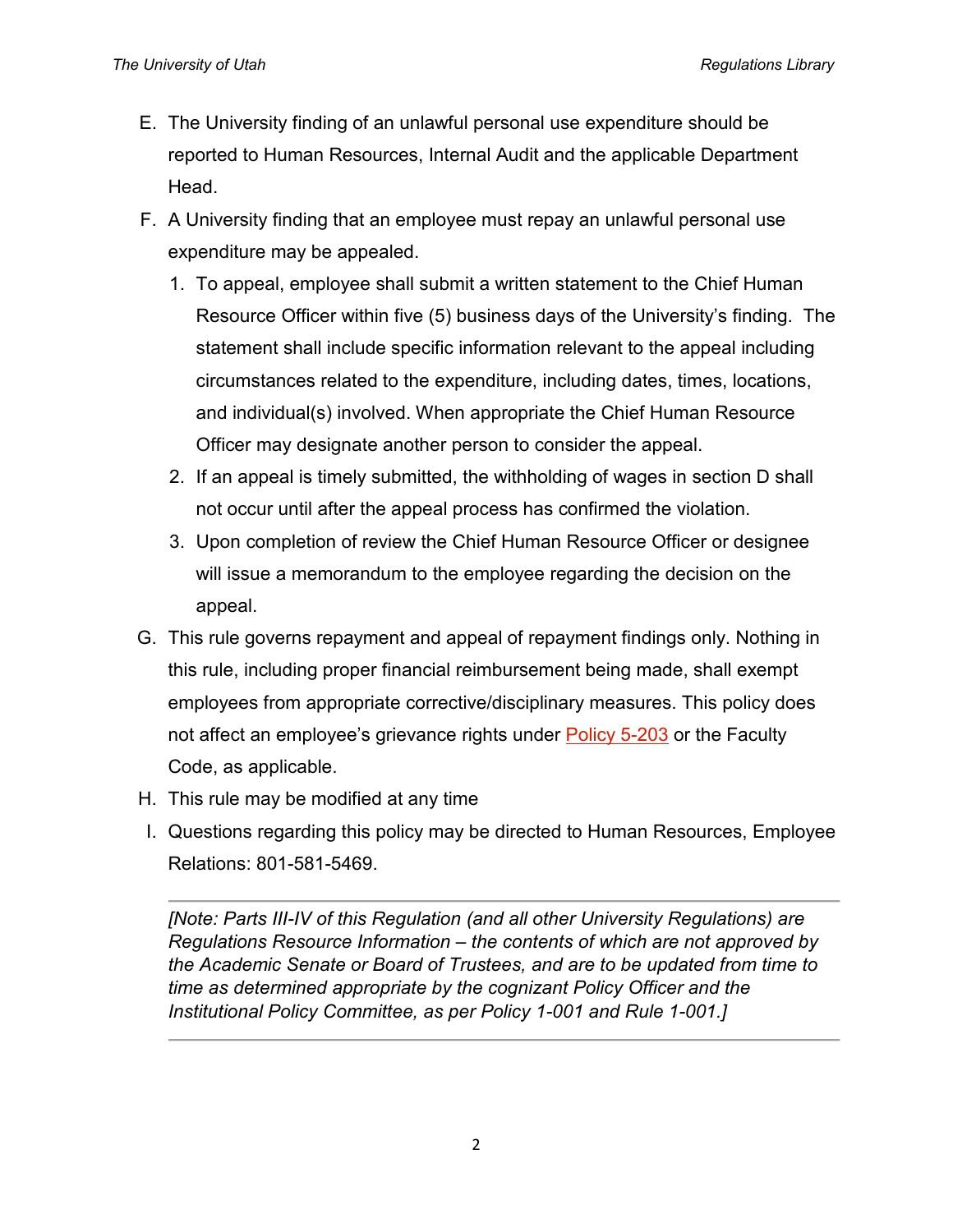- E. The University finding of an unlawful personal use expenditure should be reported to Human Resources, Internal Audit and the applicable Department Head.
- F. A University finding that an employee must repay an unlawful personal use expenditure may be appealed.
	- 1. To appeal, employee shall submit a written statement to the Chief Human Resource Officer within five (5) business days of the University's finding. The statement shall include specific information relevant to the appeal including circumstances related to the expenditure, including dates, times, locations, and individual(s) involved. When appropriate the Chief Human Resource Officer may designate another person to consider the appeal.
	- 2. If an appeal is timely submitted, the withholding of wages in section D shall not occur until after the appeal process has confirmed the violation.
	- 3. Upon completion of review the Chief Human Resource Officer or designee will issue a memorandum to the employee regarding the decision on the appeal.
- G. This rule governs repayment and appeal of repayment findings only. Nothing in this rule, including proper financial reimbursement being made, shall exempt employees from appropriate corrective/disciplinary measures. This policy does not affect an employee's grievance rights under [Policy 5-203](https://regulations.utah.edu/human-resources/5-203.php) or the Faculty Code, as applicable.
- H. This rule may be modified at any time
- I. Questions regarding this policy may be directed to Human Resources, Employee Relations: 801-581-5469.

*[Note: Parts III-IV of this Regulation (and all other University Regulations) are Regulations Resource Information – the contents of which are not approved by the Academic Senate or Board of Trustees, and are to be updated from time to time as determined appropriate by the cognizant Policy Officer and the Institutional Policy Committee, as per Policy 1-001 and Rule 1-001.]*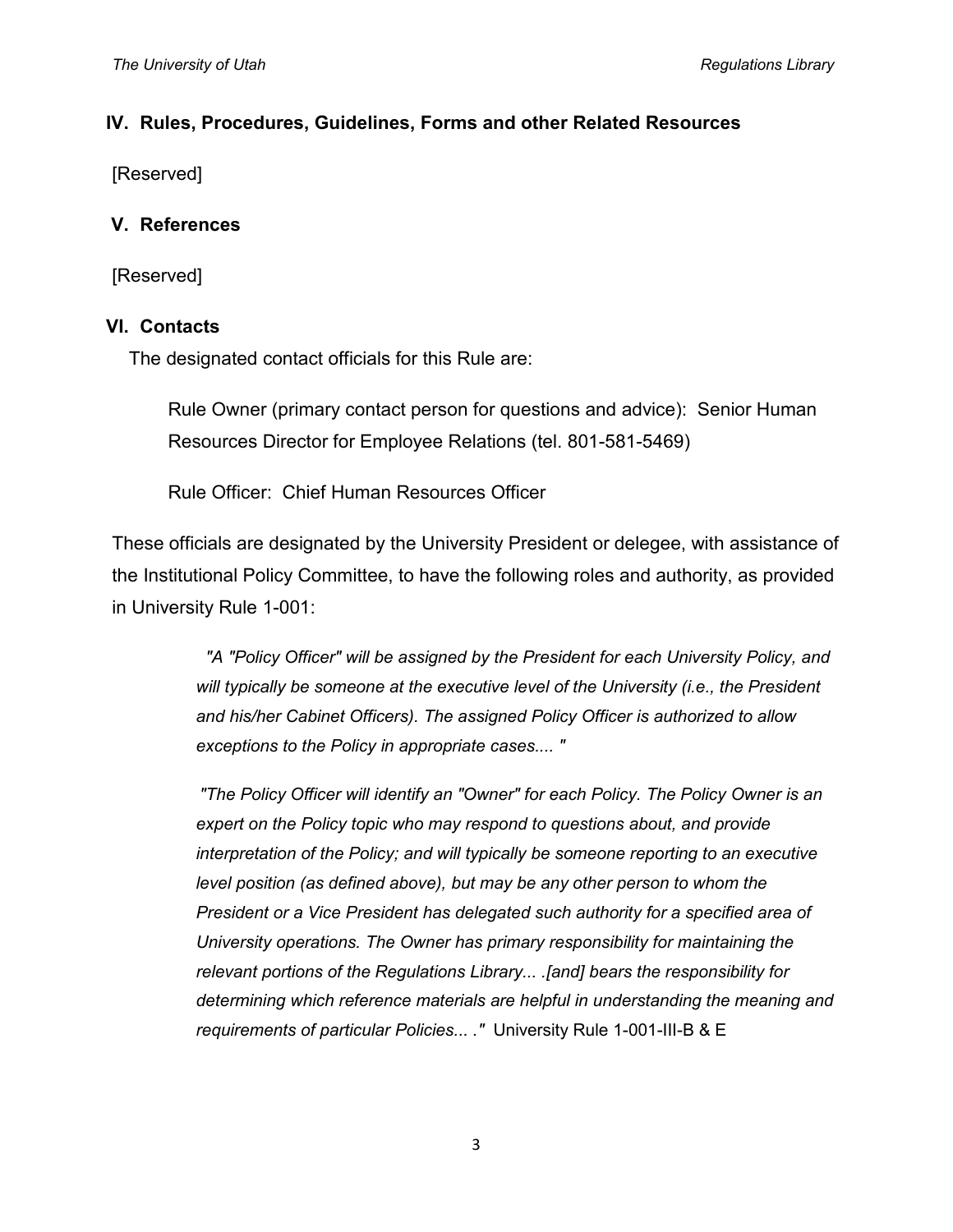#### **IV. Rules, Procedures, Guidelines, Forms and other Related Resources**

[Reserved]

#### **V. References**

[Reserved]

#### **VI. Contacts**

The designated contact officials for this Rule are:

Rule Owner (primary contact person for questions and advice): Senior Human Resources Director for Employee Relations (tel. 801-581-5469)

Rule Officer: Chief Human Resources Officer

These officials are designated by the University President or delegee, with assistance of the Institutional Policy Committee, to have the following roles and authority, as provided in University Rule 1-001:

> *"A "Policy Officer" will be assigned by the President for each University Policy, and will typically be someone at the executive level of the University (i.e., the President and his/her Cabinet Officers). The assigned Policy Officer is authorized to allow exceptions to the Policy in appropriate cases.... "*

> *"The Policy Officer will identify an "Owner" for each Policy. The Policy Owner is an expert on the Policy topic who may respond to questions about, and provide interpretation of the Policy; and will typically be someone reporting to an executive level position (as defined above), but may be any other person to whom the President or a Vice President has delegated such authority for a specified area of University operations. The Owner has primary responsibility for maintaining the relevant portions of the Regulations Library... .[and] bears the responsibility for determining which reference materials are helpful in understanding the meaning and requirements of particular Policies... ."* University Rule 1-001-III-B & E